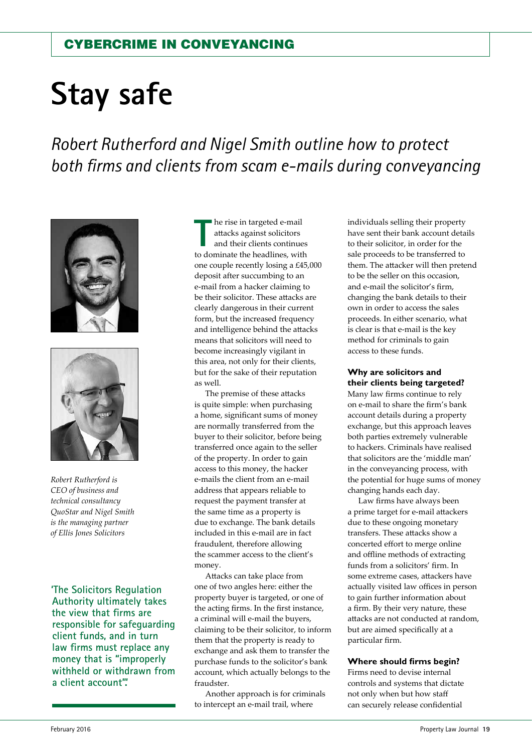# **Stay safe**

*Robert Rutherford and Nigel Smith outline how to protect both firms and clients from scam e-mails during conveyancing*





*Robert Rutherford is CEO of business and technical consultancy QuoStar and Nigel Smith is the managing partner of Ellis Jones Solicitors*

**'The Solicitors Regulation Authority ultimately takes the view that firms are responsible for safeguarding client funds, and in turn law firms must replace any money that is "improperly withheld or withdrawn from a client account".'**

**The rise in targeted e-mail**<br>
attacks against solicitors<br>
and their clients continues<br>
to dominate the headlines, with he rise in targeted e-mail attacks against solicitors and their clients continues one couple recently losing a £45,000 deposit after succumbing to an e-mail from a hacker claiming to be their solicitor. These attacks are clearly dangerous in their current form, but the increased frequency and intelligence behind the attacks means that solicitors will need to become increasingly vigilant in this area, not only for their clients, but for the sake of their reputation as well.

The premise of these attacks is quite simple: when purchasing a home, significant sums of money are normally transferred from the buyer to their solicitor, before being transferred once again to the seller of the property. In order to gain access to this money, the hacker e-mails the client from an e-mail address that appears reliable to request the payment transfer at the same time as a property is due to exchange. The bank details included in this e-mail are in fact fraudulent, therefore allowing the scammer access to the client's money.

Attacks can take place from one of two angles here: either the property buyer is targeted, or one of the acting firms. In the first instance, a criminal will e-mail the buyers, claiming to be their solicitor, to inform them that the property is ready to exchange and ask them to transfer the purchase funds to the solicitor's bank account, which actually belongs to the fraudster.

Another approach is for criminals to intercept an e-mail trail, where

individuals selling their property have sent their bank account details to their solicitor, in order for the sale proceeds to be transferred to them. The attacker will then pretend to be the seller on this occasion, and e-mail the solicitor's firm, changing the bank details to their own in order to access the sales proceeds. In either scenario, what is clear is that e-mail is the key method for criminals to gain access to these funds.

# **Why are solicitors and their clients being targeted?**

Many law firms continue to rely on e-mail to share the firm's bank account details during a property exchange, but this approach leaves both parties extremely vulnerable to hackers. Criminals have realised that solicitors are the 'middle man' in the conveyancing process, with the potential for huge sums of money changing hands each day.

Law firms have always been a prime target for e-mail attackers due to these ongoing monetary transfers. These attacks show a concerted effort to merge online and offline methods of extracting funds from a solicitors' firm. In some extreme cases, attackers have actually visited law offices in person to gain further information about a firm. By their very nature, these attacks are not conducted at random, but are aimed specifically at a particular firm.

## **Where should firms begin?**

Firms need to devise internal controls and systems that dictate not only when but how staff can securely release confidential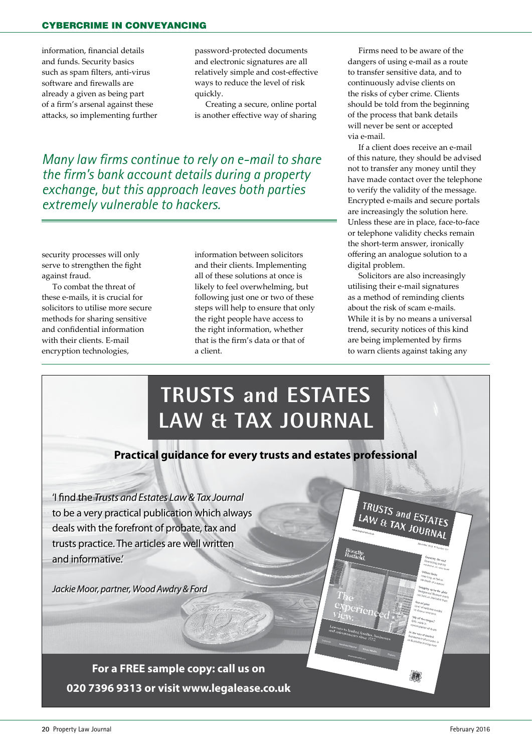information, financial details and funds. Security basics such as spam filters, anti-virus software and firewalls are already a given as being part of a firm's arsenal against these attacks, so implementing further

password-protected documents and electronic signatures are all relatively simple and cost-effective ways to reduce the level of risk quickly.

Creating a secure, online portal is another effective way of sharing

*Many law firms continue to rely on e-mail to share the firm's bank account details during a property exchange, but this approach leaves both parties extremely vulnerable to hackers.* 

security processes will only serve to strengthen the fight against fraud.

To combat the threat of these e-mails, it is crucial for solicitors to utilise more secure methods for sharing sensitive and confidential information with their clients. E-mail encryption technologies,

information between solicitors and their clients. Implementing all of these solutions at once is likely to feel overwhelming, but following just one or two of these steps will help to ensure that only the right people have access to the right information, whether that is the firm's data or that of a client.

Firms need to be aware of the dangers of using e-mail as a route to transfer sensitive data, and to continuously advise clients on the risks of cyber crime. Clients should be told from the beginning of the process that bank details will never be sent or accepted via e-mail.

If a client does receive an e-mail of this nature, they should be advised not to transfer any money until they have made contact over the telephone to verify the validity of the message. Encrypted e-mails and secure portals are increasingly the solution here. Unless these are in place, face-to-face or telephone validity checks remain the short-term answer, ironically offering an analogue solution to a digital problem.

Solicitors are also increasingly utilising their e-mail signatures as a method of reminding clients about the risk of scam e-mails. While it is by no means a universal trend, security notices of this kind are being implemented by firms to warn clients against taking any

TRUSTS and ESTATES LAW & TAX JOURNAL

Boodle<br>Hatfior

# **TRUSTS and ESTATES LAW & TAX JOURNAL**

# **Practical guidance for every trusts and estates professional**

'I find the *Trusts and Estates Law & Tax Journal* to be a very practical publication which always deals with the forefront of probate, tax and trusts practice. The articles are well written and informative.'

*Jackie Moor, partner, Wood Awdry & Ford*

**For a FREE sample copy: call us on 020 7396 9313 or visit www.legalease.co.uk**